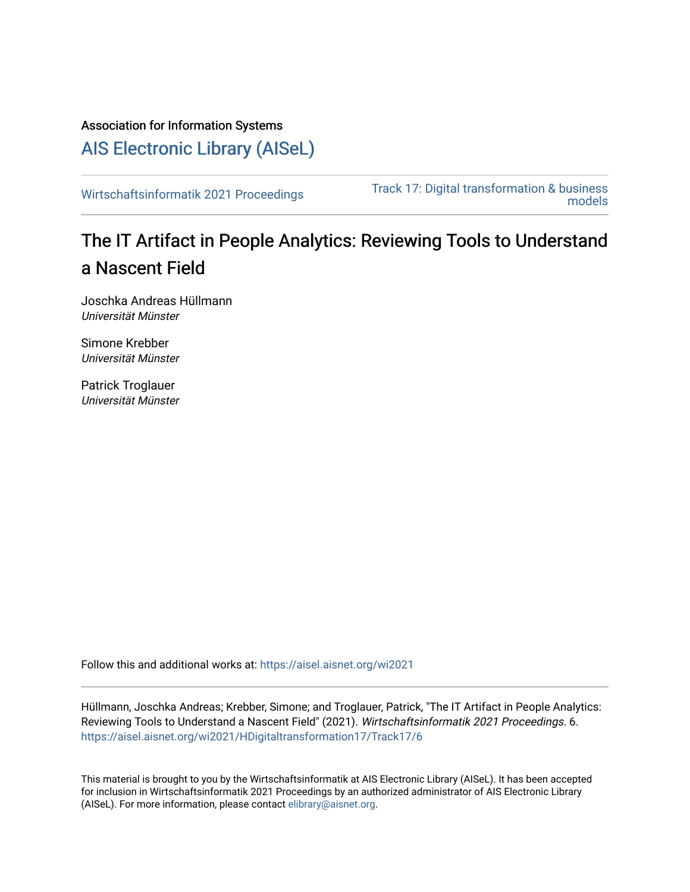Association for Information Systems [AIS Electronic Library \(AISeL\)](https://aisel.aisnet.org/)

[Wirtschaftsinformatik 2021 Proceedings](https://aisel.aisnet.org/wi2021) Track 17: Digital transformation & business [models](https://aisel.aisnet.org/wi2021/HDigitaltransformation17) 

# The IT Artifact in People Analytics: Reviewing Tools to Understand a Nascent Field

Joschka Andreas Hüllmann Universität Münster

Simone Krebber Universität Münster

Patrick Troglauer Universität Münster

Follow this and additional works at: [https://aisel.aisnet.org/wi2021](https://aisel.aisnet.org/wi2021?utm_source=aisel.aisnet.org%2Fwi2021%2FHDigitaltransformation17%2FTrack17%2F6&utm_medium=PDF&utm_campaign=PDFCoverPages) 

Hüllmann, Joschka Andreas; Krebber, Simone; and Troglauer, Patrick, "The IT Artifact in People Analytics: Reviewing Tools to Understand a Nascent Field" (2021). Wirtschaftsinformatik 2021 Proceedings. 6. [https://aisel.aisnet.org/wi2021/HDigitaltransformation17/Track17/6](https://aisel.aisnet.org/wi2021/HDigitaltransformation17/Track17/6?utm_source=aisel.aisnet.org%2Fwi2021%2FHDigitaltransformation17%2FTrack17%2F6&utm_medium=PDF&utm_campaign=PDFCoverPages)

This material is brought to you by the Wirtschaftsinformatik at AIS Electronic Library (AISeL). It has been accepted for inclusion in Wirtschaftsinformatik 2021 Proceedings by an authorized administrator of AIS Electronic Library (AISeL). For more information, please contact [elibrary@aisnet.org](mailto:elibrary@aisnet.org%3E).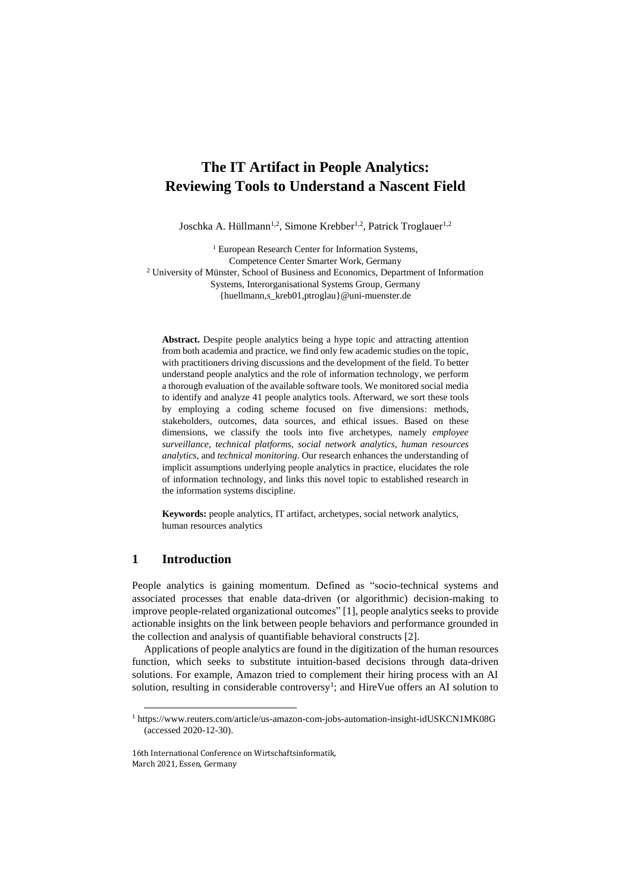## **The IT Artifact in People Analytics: Reviewing Tools to Understand a Nascent Field**

Joschka A. Hüllmann<sup>1,2</sup>, Simone Krebber<sup>1,2</sup>, Patrick Troglauer<sup>1,2</sup>

<sup>1</sup> European Research Center for Information Systems, Competence Center Smarter Work, Germany <sup>2</sup> University of Münster, School of Business and Economics, Department of Information Systems, Interorganisational Systems Group, Germany {huellmann,s\_kreb01,ptroglau}@uni-muenster.de

**Abstract.** Despite people analytics being a hype topic and attracting attention from both academia and practice, we find only few academic studies on the topic, with practitioners driving discussions and the development of the field. To better understand people analytics and the role of information technology, we perform a thorough evaluation of the available software tools. We monitored social media to identify and analyze 41 people analytics tools. Afterward, we sort these tools by employing a coding scheme focused on five dimensions: methods, stakeholders, outcomes, data sources, and ethical issues. Based on these dimensions, we classify the tools into five archetypes, namely *employee surveillance*, *technical platforms*, *social network analytics*, *human resources analytics*, and *technical monitoring*. Our research enhances the understanding of implicit assumptions underlying people analytics in practice, elucidates the role of information technology, and links this novel topic to established research in the information systems discipline.

**Keywords:** people analytics, IT artifact, archetypes, social network analytics, human resources analytics

## **1 Introduction**

-

People analytics is gaining momentum. Defined as "socio-technical systems and associated processes that enable data-driven (or algorithmic) decision-making to improve people-related organizational outcomes" [1], people analytics seeks to provide actionable insights on the link between people behaviors and performance grounded in the collection and analysis of quantifiable behavioral constructs [2].

Applications of people analytics are found in the digitization of the human resources function, which seeks to substitute intuition-based decisions through data-driven solutions. For example, Amazon tried to complement their hiring process with an AI solution, resulting in considerable controversy<sup>1</sup>; and HireVue offers an AI solution to

<sup>1</sup> <https://www.reuters.com/article/us-amazon-com-jobs-automation-insight-idUSKCN1MK08G> (accessed 2020-12-30).

<sup>16</sup>th International Conference on Wirtschaftsinformatik, March 2021, Essen, Germany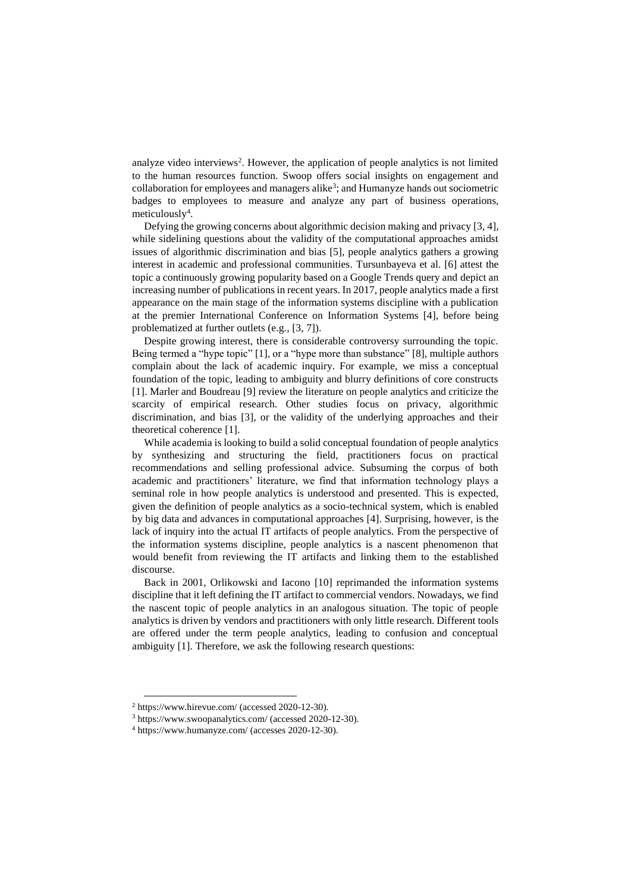analyze video interviews<sup>2</sup>. However, the application of people analytics is not limited to the human resources function. Swoop offers social insights on engagement and collaboration for employees and managers alike<sup>3</sup>; and Humanyze hands out sociometric badges to employees to measure and analyze any part of business operations, meticulously<sup>4</sup>.

Defying the growing concerns about algorithmic decision making and privacy [3, 4], while sidelining questions about the validity of the computational approaches amidst issues of algorithmic discrimination and bias [5], people analytics gathers a growing interest in academic and professional communities. Tursunbayeva et al. [6] attest the topic a continuously growing popularity based on a Google Trends query and depict an increasing number of publications in recent years. In 2017, people analytics made a first appearance on the main stage of the information systems discipline with a publication at the premier International Conference on Information Systems [4], before being problematized at further outlets (e.g., [3, 7]).

Despite growing interest, there is considerable controversy surrounding the topic. Being termed a "hype topic" [1], or a "hype more than substance" [8], multiple authors complain about the lack of academic inquiry. For example, we miss a conceptual foundation of the topic, leading to ambiguity and blurry definitions of core constructs [1]. Marler and Boudreau [9] review the literature on people analytics and criticize the scarcity of empirical research. Other studies focus on privacy, algorithmic discrimination, and bias [3], or the validity of the underlying approaches and their theoretical coherence [1].

While academia is looking to build a solid conceptual foundation of people analytics by synthesizing and structuring the field, practitioners focus on practical recommendations and selling professional advice. Subsuming the corpus of both academic and practitioners' literature, we find that information technology plays a seminal role in how people analytics is understood and presented. This is expected, given the definition of people analytics as a socio-technical system, which is enabled by big data and advances in computational approaches [4]. Surprising, however, is the lack of inquiry into the actual IT artifacts of people analytics. From the perspective of the information systems discipline, people analytics is a nascent phenomenon that would benefit from reviewing the IT artifacts and linking them to the established discourse.

Back in 2001, Orlikowski and Iacono [10] reprimanded the information systems discipline that it left defining the IT artifact to commercial vendors. Nowadays, we find the nascent topic of people analytics in an analogous situation. The topic of people analytics is driven by vendors and practitioners with only little research. Different tools are offered under the term people analytics, leading to confusion and conceptual ambiguity [1]. Therefore, we ask the following research questions:

 $\overline{a}$ 

 $2$  <https://www.hirevue.com/> (accessed 2020-12-30).

<sup>3</sup> <https://www.swoopanalytics.com/> (accessed 2020-12-30).

<sup>4</sup> <https://www.humanyze.com/> (accesses 2020-12-30).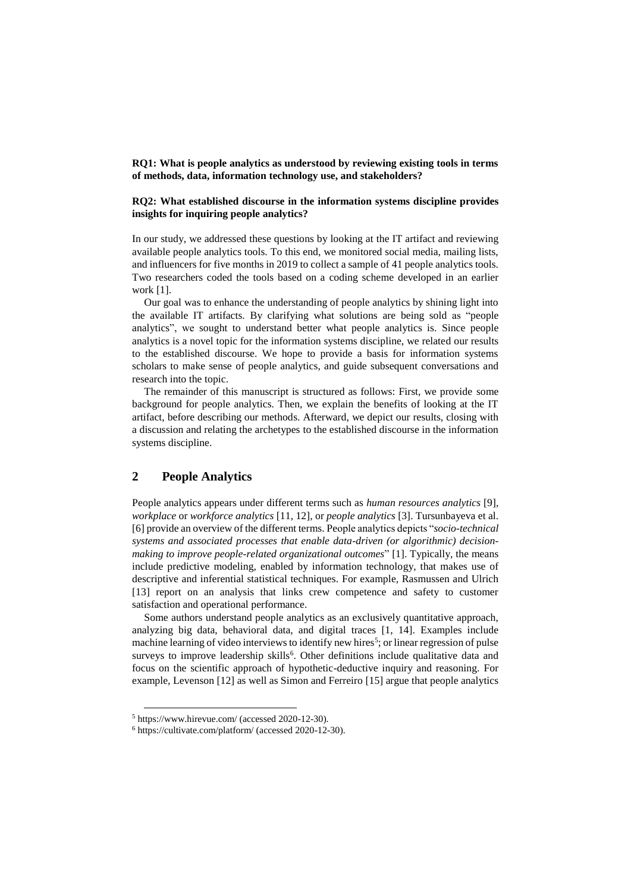**RQ1: What is people analytics as understood by reviewing existing tools in terms of methods, data, information technology use, and stakeholders?**

#### **RQ2: What established discourse in the information systems discipline provides insights for inquiring people analytics?**

In our study, we addressed these questions by looking at the IT artifact and reviewing available people analytics tools. To this end, we monitored social media, mailing lists, and influencers for five months in 2019 to collect a sample of 41 people analytics tools. Two researchers coded the tools based on a coding scheme developed in an earlier work [1].

Our goal was to enhance the understanding of people analytics by shining light into the available IT artifacts. By clarifying what solutions are being sold as "people analytics", we sought to understand better what people analytics is. Since people analytics is a novel topic for the information systems discipline, we related our results to the established discourse. We hope to provide a basis for information systems scholars to make sense of people analytics, and guide subsequent conversations and research into the topic.

The remainder of this manuscript is structured as follows: First, we provide some background for people analytics. Then, we explain the benefits of looking at the IT artifact, before describing our methods. Afterward, we depict our results, closing with a discussion and relating the archetypes to the established discourse in the information systems discipline.

## **2 People Analytics**

People analytics appears under different terms such as *human resources analytics* [9], *workplace* or *workforce analytics* [11, 12], or *people analytics* [3]. Tursunbayeva et al. [6] provide an overview of the different terms. People analytics depicts "*socio-technical systems and associated processes that enable data-driven (or algorithmic) decisionmaking to improve people-related organizational outcomes*" [1]. Typically, the means include predictive modeling, enabled by information technology, that makes use of descriptive and inferential statistical techniques. For example, Rasmussen and Ulrich [13] report on an analysis that links crew competence and safety to customer satisfaction and operational performance.

Some authors understand people analytics as an exclusively quantitative approach, analyzing big data, behavioral data, and digital traces [1, 14]. Examples include machine learning of video interviews to identify new hires<sup>5</sup>; or linear regression of pulse surveys to improve leadership skills<sup>6</sup>. Other definitions include qualitative data and focus on the scientific approach of hypothetic-deductive inquiry and reasoning. For example, Levenson [12] as well as Simon and Ferreiro [15] argue that people analytics

-

<sup>5</sup> https://www.hirevue.com/ (accessed 2020-12-30).

<sup>6</sup> https://cultivate.com/platform/ (accessed 2020-12-30).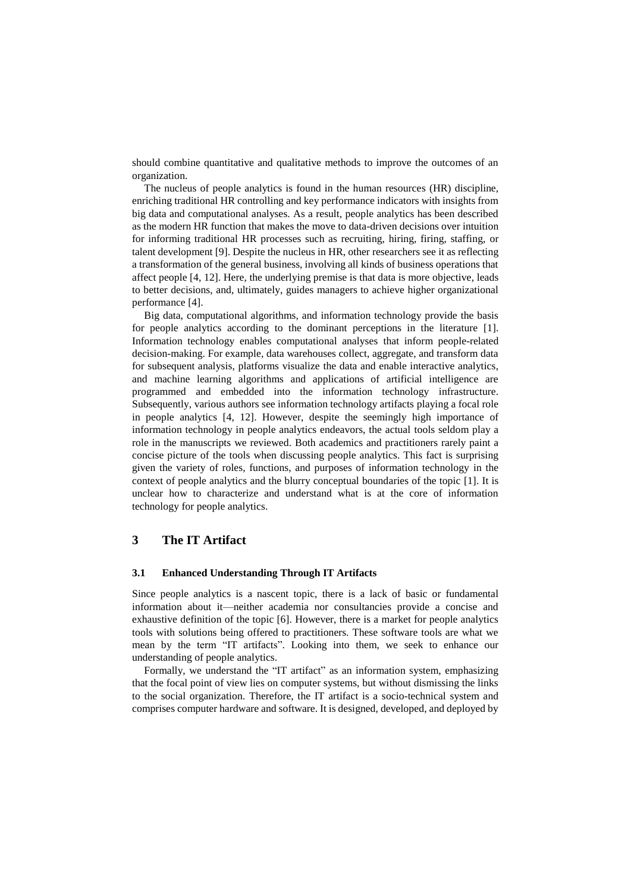should combine quantitative and qualitative methods to improve the outcomes of an organization.

The nucleus of people analytics is found in the human resources (HR) discipline, enriching traditional HR controlling and key performance indicators with insights from big data and computational analyses. As a result, people analytics has been described as the modern HR function that makes the move to data-driven decisions over intuition for informing traditional HR processes such as recruiting, hiring, firing, staffing, or talent development [9]. Despite the nucleus in HR, other researchers see it as reflecting a transformation of the general business, involving all kinds of business operations that affect people [4, 12]. Here, the underlying premise is that data is more objective, leads to better decisions, and, ultimately, guides managers to achieve higher organizational performance [4].

Big data, computational algorithms, and information technology provide the basis for people analytics according to the dominant perceptions in the literature [1]. Information technology enables computational analyses that inform people-related decision-making. For example, data warehouses collect, aggregate, and transform data for subsequent analysis, platforms visualize the data and enable interactive analytics, and machine learning algorithms and applications of artificial intelligence are programmed and embedded into the information technology infrastructure. Subsequently, various authors see information technology artifacts playing a focal role in people analytics [4, 12]. However, despite the seemingly high importance of information technology in people analytics endeavors, the actual tools seldom play a role in the manuscripts we reviewed. Both academics and practitioners rarely paint a concise picture of the tools when discussing people analytics. This fact is surprising given the variety of roles, functions, and purposes of information technology in the context of people analytics and the blurry conceptual boundaries of the topic [1]. It is unclear how to characterize and understand what is at the core of information technology for people analytics.

## **3 The IT Artifact**

#### **3.1 Enhanced Understanding Through IT Artifacts**

Since people analytics is a nascent topic, there is a lack of basic or fundamental information about it—neither academia nor consultancies provide a concise and exhaustive definition of the topic [6]. However, there is a market for people analytics tools with solutions being offered to practitioners. These software tools are what we mean by the term "IT artifacts". Looking into them, we seek to enhance our understanding of people analytics.

Formally, we understand the "IT artifact" as an information system, emphasizing that the focal point of view lies on computer systems, but without dismissing the links to the social organization. Therefore, the IT artifact is a socio-technical system and comprises computer hardware and software. It is designed, developed, and deployed by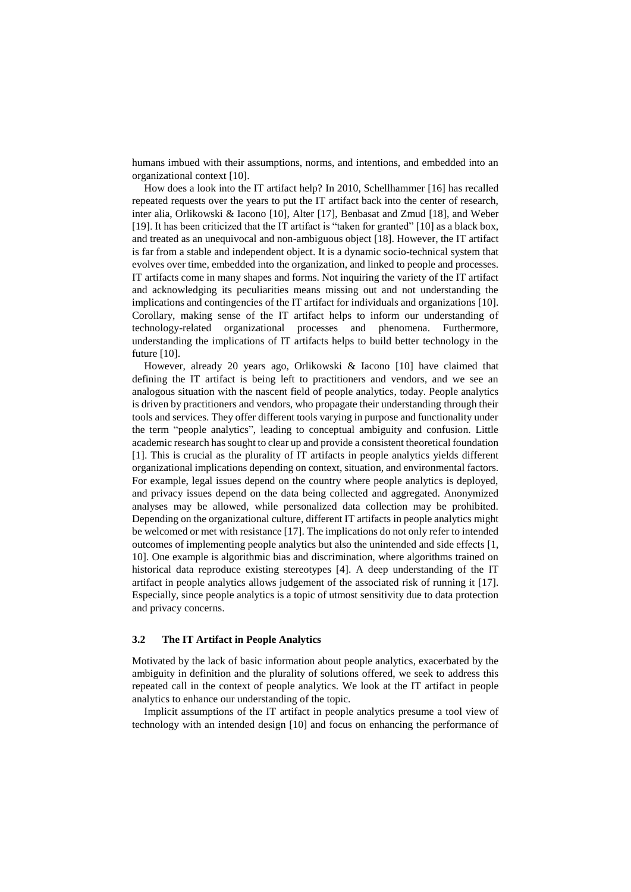humans imbued with their assumptions, norms, and intentions, and embedded into an organizational context [10].

How does a look into the IT artifact help? In 2010, Schellhammer [16] has recalled repeated requests over the years to put the IT artifact back into the center of research, inter alia, Orlikowski & Iacono [10], Alter [17], Benbasat and Zmud [18], and Weber [19]. It has been criticized that the IT artifact is "taken for granted" [10] as a black box, and treated as an unequivocal and non-ambiguous object [18]. However, the IT artifact is far from a stable and independent object. It is a dynamic socio-technical system that evolves over time, embedded into the organization, and linked to people and processes. IT artifacts come in many shapes and forms. Not inquiring the variety of the IT artifact and acknowledging its peculiarities means missing out and not understanding the implications and contingencies of the IT artifact for individuals and organizations [10]. Corollary, making sense of the IT artifact helps to inform our understanding of technology-related organizational processes and phenomena. Furthermore, understanding the implications of IT artifacts helps to build better technology in the future [10].

However, already 20 years ago, Orlikowski & Iacono [10] have claimed that defining the IT artifact is being left to practitioners and vendors, and we see an analogous situation with the nascent field of people analytics, today. People analytics is driven by practitioners and vendors, who propagate their understanding through their tools and services. They offer different tools varying in purpose and functionality under the term "people analytics", leading to conceptual ambiguity and confusion. Little academic research has sought to clear up and provide a consistent theoretical foundation [1]. This is crucial as the plurality of IT artifacts in people analytics yields different organizational implications depending on context, situation, and environmental factors. For example, legal issues depend on the country where people analytics is deployed, and privacy issues depend on the data being collected and aggregated. Anonymized analyses may be allowed, while personalized data collection may be prohibited. Depending on the organizational culture, different IT artifacts in people analytics might be welcomed or met with resistance [17]. The implications do not only refer to intended outcomes of implementing people analytics but also the unintended and side effects [1, 10]. One example is algorithmic bias and discrimination, where algorithms trained on historical data reproduce existing stereotypes [4]. A deep understanding of the IT artifact in people analytics allows judgement of the associated risk of running it [17]. Especially, since people analytics is a topic of utmost sensitivity due to data protection and privacy concerns.

#### **3.2 The IT Artifact in People Analytics**

Motivated by the lack of basic information about people analytics, exacerbated by the ambiguity in definition and the plurality of solutions offered, we seek to address this repeated call in the context of people analytics. We look at the IT artifact in people analytics to enhance our understanding of the topic.

Implicit assumptions of the IT artifact in people analytics presume a tool view of technology with an intended design [10] and focus on enhancing the performance of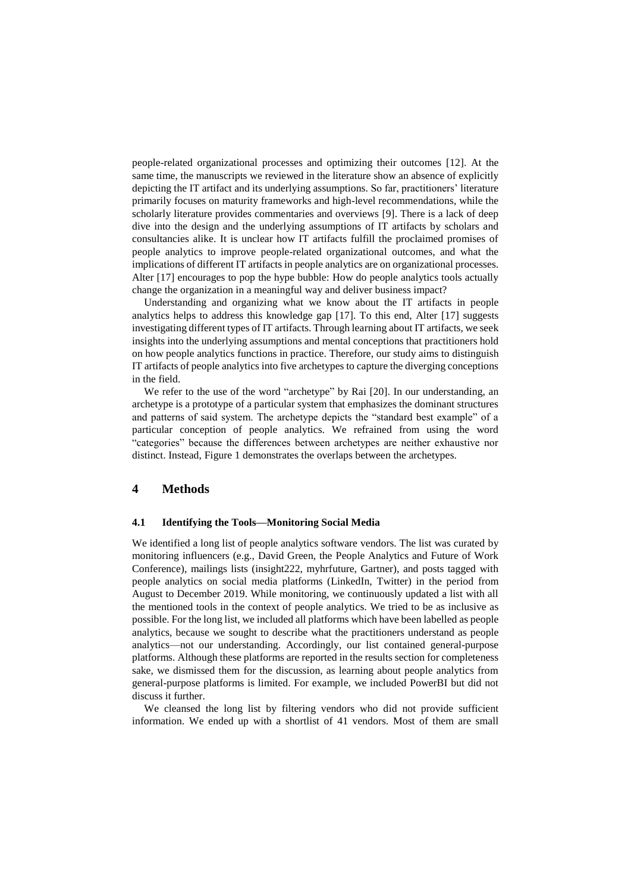people-related organizational processes and optimizing their outcomes [12]. At the same time, the manuscripts we reviewed in the literature show an absence of explicitly depicting the IT artifact and its underlying assumptions. So far, practitioners' literature primarily focuses on maturity frameworks and high-level recommendations, while the scholarly literature provides commentaries and overviews [9]. There is a lack of deep dive into the design and the underlying assumptions of IT artifacts by scholars and consultancies alike. It is unclear how IT artifacts fulfill the proclaimed promises of people analytics to improve people-related organizational outcomes, and what the implications of different IT artifacts in people analytics are on organizational processes. Alter [17] encourages to pop the hype bubble: How do people analytics tools actually change the organization in a meaningful way and deliver business impact?

Understanding and organizing what we know about the IT artifacts in people analytics helps to address this knowledge gap [17]. To this end, Alter [17] suggests investigating different types of IT artifacts. Through learning about IT artifacts, we seek insights into the underlying assumptions and mental conceptions that practitioners hold on how people analytics functions in practice. Therefore, our study aims to distinguish IT artifacts of people analytics into five archetypes to capture the diverging conceptions in the field.

We refer to the use of the word "archetype" by Rai [20]. In our understanding, an archetype is a prototype of a particular system that emphasizes the dominant structures and patterns of said system. The archetype depicts the "standard best example" of a particular conception of people analytics. We refrained from using the word "categories" because the differences between archetypes are neither exhaustive nor distinct. Instead, [Figure 1](#page-8-0) demonstrates the overlaps between the archetypes.

## **4 Methods**

#### **4.1 Identifying the Tools—Monitoring Social Media**

We identified a long list of people analytics software vendors. The list was curated by monitoring influencers (e.g., David Green, the People Analytics and Future of Work Conference), mailings lists (insight222, myhrfuture, Gartner), and posts tagged with people analytics on social media platforms (LinkedIn, Twitter) in the period from August to December 2019. While monitoring, we continuously updated a list with all the mentioned tools in the context of people analytics. We tried to be as inclusive as possible. For the long list, we included all platforms which have been labelled as people analytics, because we sought to describe what the practitioners understand as people analytics—not our understanding. Accordingly, our list contained general-purpose platforms. Although these platforms are reported in the results section for completeness sake, we dismissed them for the discussion, as learning about people analytics from general-purpose platforms is limited. For example, we included PowerBI but did not discuss it further.

We cleansed the long list by filtering vendors who did not provide sufficient information. We ended up with a shortlist of 41 vendors. Most of them are small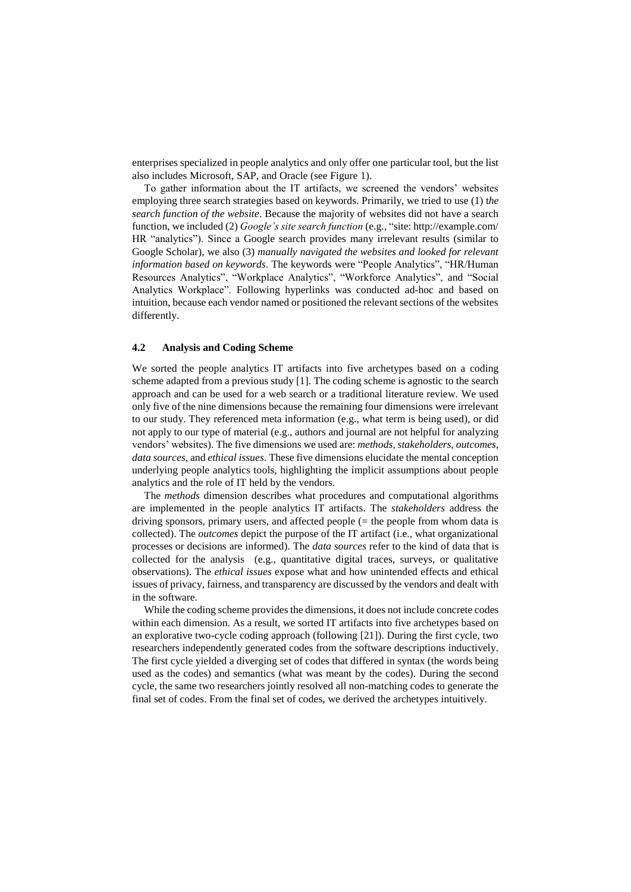enterprises specialized in people analytics and only offer one particular tool, but the list also includes Microsoft, SAP, and Oracle (see Figure 1).

To gather information about the IT artifacts, we screened the vendors' websites employing three search strategies based on keywords. Primarily, we tried to use (1) t*he search function of the website*. Because the majority of websites did not have a search function, we included (2) *Google's site search function* (e.g., "site: http://example.com/ HR "analytics"). Since a Google search provides many irrelevant results (similar to Google Scholar), we also (3) *manually navigated the websites and looked for relevant information based on keywords*. The keywords were "People Analytics", "HR/Human Resources Analytics", "Workplace Analytics", "Workforce Analytics", and "Social Analytics Workplace". Following hyperlinks was conducted ad-hoc and based on intuition, because each vendor named or positioned the relevant sections of the websites differently.

#### **4.2 Analysis and Coding Scheme**

We sorted the people analytics IT artifacts into five archetypes based on a coding scheme adapted from a previous study [1]. The coding scheme is agnostic to the search approach and can be used for a web search or a traditional literature review. We used only five of the nine dimensions because the remaining four dimensions were irrelevant to our study. They referenced meta information (e.g., what term is being used), or did not apply to our type of material (e.g., authors and journal are not helpful for analyzing vendors' websites). The five dimensions we used are: *methods*, *stakeholders*, *outcomes*, *data sources*, and *ethical issues*. These five dimensions elucidate the mental conception underlying people analytics tools, highlighting the implicit assumptions about people analytics and the role of IT held by the vendors.

The *methods* dimension describes what procedures and computational algorithms are implemented in the people analytics IT artifacts. The *stakeholders* address the driving sponsors, primary users, and affected people (= the people from whom data is collected). The *outcomes* depict the purpose of the IT artifact (i.e., what organizational processes or decisions are informed). The *data sources* refer to the kind of data that is collected for the analysis (e.g., quantitative digital traces, surveys, or qualitative observations). The *ethical issues* expose what and how unintended effects and ethical issues of privacy, fairness, and transparency are discussed by the vendors and dealt with in the software.

While the coding scheme provides the dimensions, it does not include concrete codes within each dimension. As a result, we sorted IT artifacts into five archetypes based on an explorative two-cycle coding approach (following [21]). During the first cycle, two researchers independently generated codes from the software descriptions inductively. The first cycle yielded a diverging set of codes that differed in syntax (the words being used as the codes) and semantics (what was meant by the codes). During the second cycle, the same two researchers jointly resolved all non-matching codes to generate the final set of codes. From the final set of codes, we derived the archetypes intuitively.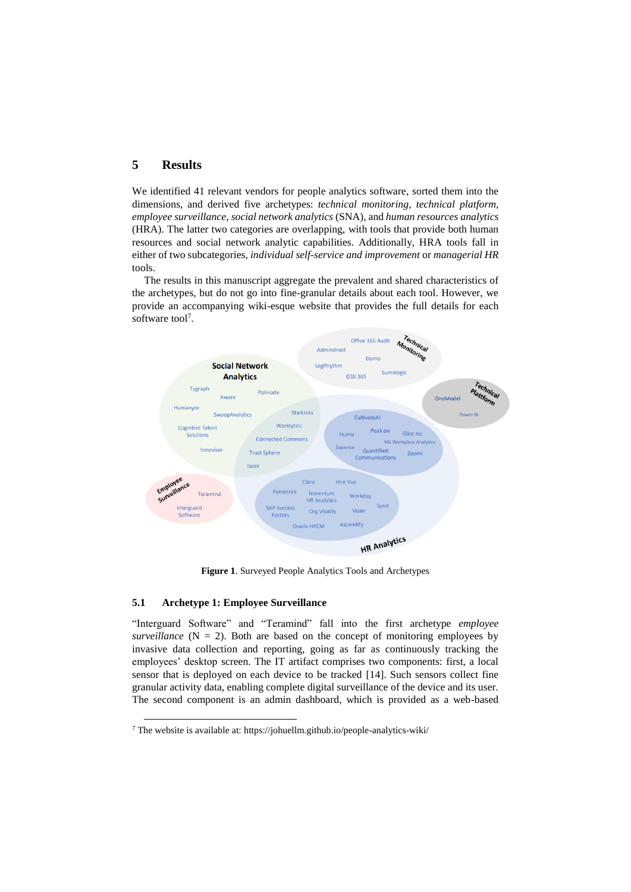## **5 Results**

We identified 41 relevant vendors for people analytics software, sorted them into the dimensions, and derived five archetypes: *technical monitoring*, *technical platform*, *employee surveillance*, *social network analytics* (SNA), and *human resources analytics* (HRA). The latter two categories are overlapping, with tools that provide both human resources and social network analytic capabilities. Additionally, HRA tools fall in either of two subcategories, *individual self-service and improvement* or *managerial HR* tools.

The results in this manuscript aggregate the prevalent and shared characteristics of the archetypes, but do not go into fine-granular details about each tool. However, we provide an accompanying wiki-esque website that provides the full details for each software tool<sup>7</sup>.



**Figure 1**. Surveyed People Analytics Tools and Archetypes

#### <span id="page-8-0"></span>**5.1 Archetype 1: Employee Surveillance**

-

"Interguard Software" and "Teramind" fall into the first archetype *employee surveillance* ( $N = 2$ ). Both are based on the concept of monitoring employees by invasive data collection and reporting, going as far as continuously tracking the employees' desktop screen. The IT artifact comprises two components: first, a local sensor that is deployed on each device to be tracked [14]. Such sensors collect fine granular activity data, enabling complete digital surveillance of the device and its user. The second component is an admin dashboard, which is provided as a web-based

<sup>7</sup> The website is available at:<https://johuellm.github.io/people-analytics-wiki/>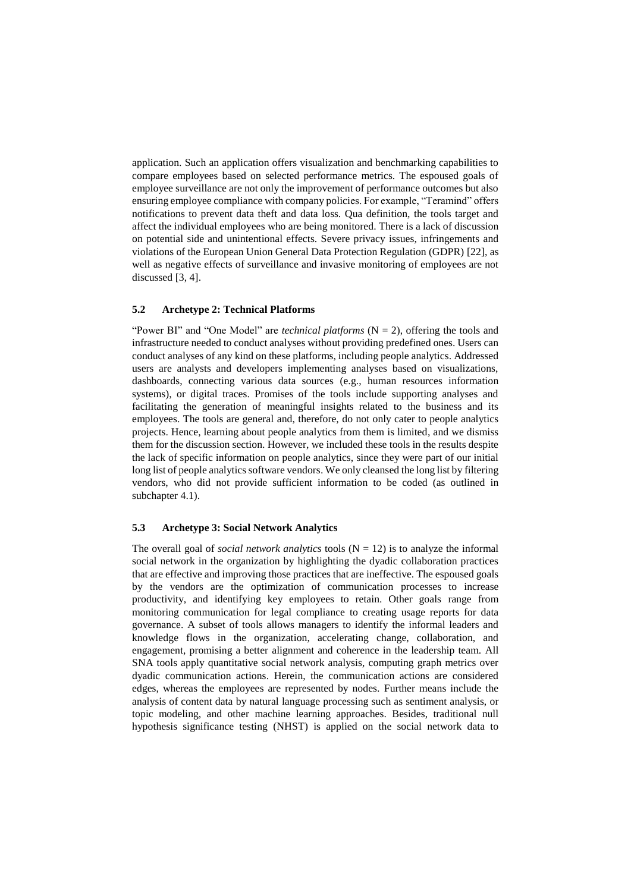application. Such an application offers visualization and benchmarking capabilities to compare employees based on selected performance metrics. The espoused goals of employee surveillance are not only the improvement of performance outcomes but also ensuring employee compliance with company policies. For example, "Teramind" offers notifications to prevent data theft and data loss. Qua definition, the tools target and affect the individual employees who are being monitored. There is a lack of discussion on potential side and unintentional effects. Severe privacy issues, infringements and violations of the European Union General Data Protection Regulation (GDPR) [22], as well as negative effects of surveillance and invasive monitoring of employees are not discussed [3, 4].

#### **5.2 Archetype 2: Technical Platforms**

"Power BI" and "One Model" are *technical platforms* (N = 2), offering the tools and infrastructure needed to conduct analyses without providing predefined ones. Users can conduct analyses of any kind on these platforms, including people analytics. Addressed users are analysts and developers implementing analyses based on visualizations, dashboards, connecting various data sources (e.g., human resources information systems), or digital traces. Promises of the tools include supporting analyses and facilitating the generation of meaningful insights related to the business and its employees. The tools are general and, therefore, do not only cater to people analytics projects. Hence, learning about people analytics from them is limited, and we dismiss them for the discussion section. However, we included these tools in the results despite the lack of specific information on people analytics, since they were part of our initial long list of people analytics software vendors. We only cleansed the long list by filtering vendors, who did not provide sufficient information to be coded (as outlined in subchapter 4.1).

#### **5.3 Archetype 3: Social Network Analytics**

The overall goal of *social network analytics* tools  $(N = 12)$  is to analyze the informal social network in the organization by highlighting the dyadic collaboration practices that are effective and improving those practices that are ineffective. The espoused goals by the vendors are the optimization of communication processes to increase productivity, and identifying key employees to retain. Other goals range from monitoring communication for legal compliance to creating usage reports for data governance. A subset of tools allows managers to identify the informal leaders and knowledge flows in the organization, accelerating change, collaboration, and engagement, promising a better alignment and coherence in the leadership team. All SNA tools apply quantitative social network analysis, computing graph metrics over dyadic communication actions. Herein, the communication actions are considered edges, whereas the employees are represented by nodes. Further means include the analysis of content data by natural language processing such as sentiment analysis, or topic modeling, and other machine learning approaches. Besides, traditional null hypothesis significance testing (NHST) is applied on the social network data to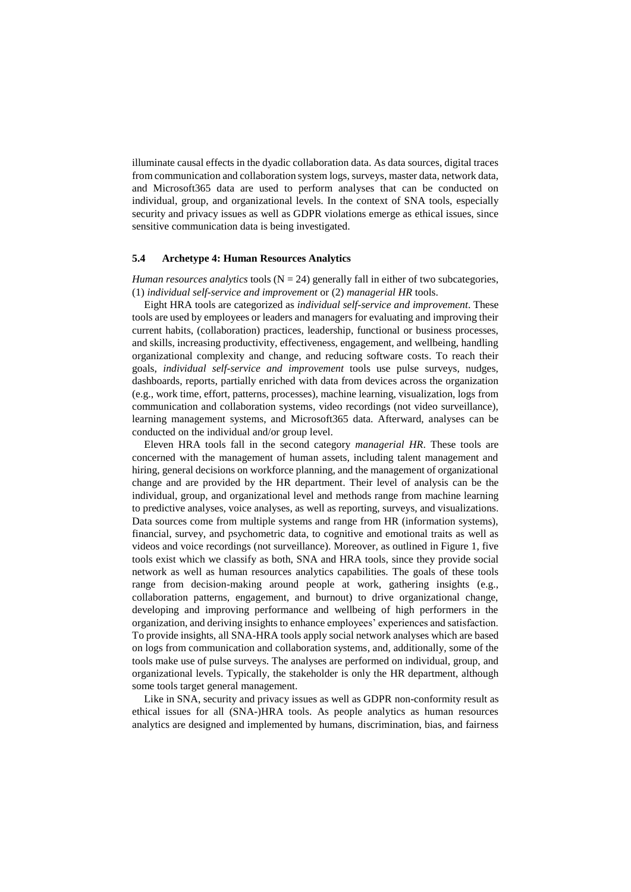illuminate causal effects in the dyadic collaboration data. As data sources, digital traces from communication and collaboration system logs, surveys, master data, network data, and Microsoft365 data are used to perform analyses that can be conducted on individual, group, and organizational levels. In the context of SNA tools, especially security and privacy issues as well as GDPR violations emerge as ethical issues, since sensitive communication data is being investigated.

#### **5.4 Archetype 4: Human Resources Analytics**

*Human resources analytics* tools  $(N = 24)$  generally fall in either of two subcategories, (1) *individual self-service and improvement* or (2) *managerial HR* tools.

Eight HRA tools are categorized as *individual self-service and improvement*. These tools are used by employees or leaders and managers for evaluating and improving their current habits, (collaboration) practices, leadership, functional or business processes, and skills, increasing productivity, effectiveness, engagement, and wellbeing, handling organizational complexity and change, and reducing software costs. To reach their goals, *individual self-service and improvement* tools use pulse surveys, nudges, dashboards, reports, partially enriched with data from devices across the organization (e.g., work time, effort, patterns, processes), machine learning, visualization, logs from communication and collaboration systems, video recordings (not video surveillance), learning management systems, and Microsoft365 data. Afterward, analyses can be conducted on the individual and/or group level.

Eleven HRA tools fall in the second category *managerial HR*. These tools are concerned with the management of human assets, including talent management and hiring, general decisions on workforce planning, and the management of organizational change and are provided by the HR department. Their level of analysis can be the individual, group, and organizational level and methods range from machine learning to predictive analyses, voice analyses, as well as reporting, surveys, and visualizations. Data sources come from multiple systems and range from HR (information systems), financial, survey, and psychometric data, to cognitive and emotional traits as well as videos and voice recordings (not surveillance). Moreover, as outlined in Figure 1, five tools exist which we classify as both, SNA and HRA tools, since they provide social network as well as human resources analytics capabilities. The goals of these tools range from decision-making around people at work, gathering insights (e.g., collaboration patterns, engagement, and burnout) to drive organizational change, developing and improving performance and wellbeing of high performers in the organization, and deriving insights to enhance employees' experiences and satisfaction. To provide insights, all SNA-HRA tools apply social network analyses which are based on logs from communication and collaboration systems, and, additionally, some of the tools make use of pulse surveys. The analyses are performed on individual, group, and organizational levels. Typically, the stakeholder is only the HR department, although some tools target general management.

Like in SNA, security and privacy issues as well as GDPR non-conformity result as ethical issues for all (SNA-)HRA tools. As people analytics as human resources analytics are designed and implemented by humans, discrimination, bias, and fairness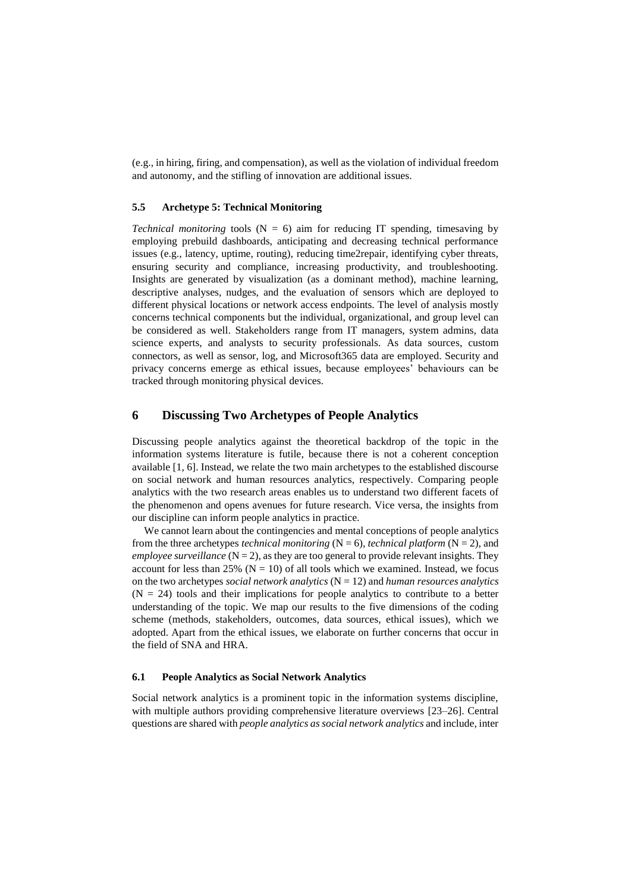(e.g., in hiring, firing, and compensation), as well as the violation of individual freedom and autonomy, and the stifling of innovation are additional issues.

#### **5.5 Archetype 5: Technical Monitoring**

*Technical monitoring* tools  $(N = 6)$  aim for reducing IT spending, timesaving by employing prebuild dashboards, anticipating and decreasing technical performance issues (e.g., latency, uptime, routing), reducing time2repair, identifying cyber threats, ensuring security and compliance, increasing productivity, and troubleshooting. Insights are generated by visualization (as a dominant method), machine learning, descriptive analyses, nudges, and the evaluation of sensors which are deployed to different physical locations or network access endpoints. The level of analysis mostly concerns technical components but the individual, organizational, and group level can be considered as well. Stakeholders range from IT managers, system admins*,* data science experts, and analysts to security professionals. As data sources, custom connectors, as well as sensor, log, and Microsoft365 data are employed. Security and privacy concerns emerge as ethical issues, because employees' behaviours can be tracked through monitoring physical devices.

## **6 Discussing Two Archetypes of People Analytics**

Discussing people analytics against the theoretical backdrop of the topic in the information systems literature is futile, because there is not a coherent conception available [1, 6]. Instead, we relate the two main archetypes to the established discourse on social network and human resources analytics, respectively. Comparing people analytics with the two research areas enables us to understand two different facets of the phenomenon and opens avenues for future research. Vice versa, the insights from our discipline can inform people analytics in practice.

We cannot learn about the contingencies and mental conceptions of people analytics from the three archetypes *technical monitoring* (N = 6), *technical platform* (N = 2), and *employee surveillance*  $(N = 2)$ , as they are too general to provide relevant insights. They account for less than  $25\%$  (N = 10) of all tools which we examined. Instead, we focus on the two archetypes *social network analytics* (N = 12) and *human resources analytics*  $(N = 24)$  tools and their implications for people analytics to contribute to a better understanding of the topic. We map our results to the five dimensions of the coding scheme (methods, stakeholders, outcomes, data sources, ethical issues), which we adopted. Apart from the ethical issues, we elaborate on further concerns that occur in the field of SNA and HRA.

#### **6.1 People Analytics as Social Network Analytics**

Social network analytics is a prominent topic in the information systems discipline, with multiple authors providing comprehensive literature overviews [23–26]. Central questions are shared with *people analytics as social network analytics* and include, inter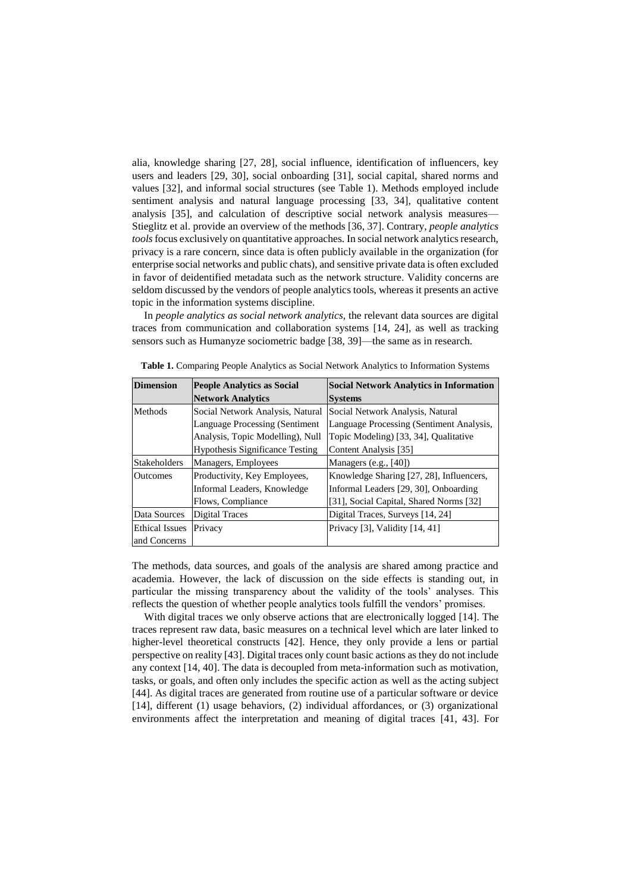alia, knowledge sharing [27, 28], social influence, identification of influencers, key users and leaders [29, 30], social onboarding [31], social capital, shared norms and values [32], and informal social structures (see [Table 1\)](#page-12-0). Methods employed include sentiment analysis and natural language processing [33, 34], qualitative content analysis [35], and calculation of descriptive social network analysis measures— Stieglitz et al. provide an overview of the methods [36, 37]. Contrary, *people analytics tools*focus exclusively on quantitative approaches. In social network analytics research, privacy is a rare concern, since data is often publicly available in the organization (for enterprise social networks and public chats), and sensitive private data is often excluded in favor of deidentified metadata such as the network structure. Validity concerns are seldom discussed by the vendors of people analytics tools, whereas it presents an active topic in the information systems discipline.

In *people analytics as social network analytics*, the relevant data sources are digital traces from communication and collaboration systems [14, 24], as well as tracking sensors such as Humanyze sociometric badge [38, 39]—the same as in research.

| <b>Dimension</b>    | <b>People Analytics as Social</b>      | <b>Social Network Analytics in Information</b> |
|---------------------|----------------------------------------|------------------------------------------------|
|                     | <b>Network Analytics</b>               | <b>Systems</b>                                 |
| Methods             | Social Network Analysis, Natural       | Social Network Analysis, Natural               |
|                     | <b>Language Processing (Sentiment</b>  | Language Processing (Sentiment Analysis,       |
|                     | Analysis, Topic Modelling), Null       | Topic Modeling) [33, 34], Qualitative          |
|                     | <b>Hypothesis Significance Testing</b> | Content Analysis [35]                          |
| <b>Stakeholders</b> | Managers, Employees                    | Managers (e.g., $[40]$ )                       |
| <b>Outcomes</b>     | Productivity, Key Employees,           | Knowledge Sharing [27, 28], Influencers,       |
|                     | Informal Leaders, Knowledge            | Informal Leaders [29, 30], Onboarding          |
|                     | Flows, Compliance                      | [31], Social Capital, Shared Norms [32]        |
| Data Sources        | Digital Traces                         | Digital Traces, Surveys [14, 24]               |
| Ethical Issues      | Privacy                                | Privacy [3], Validity $[14, 41]$               |
| and Concerns        |                                        |                                                |

<span id="page-12-0"></span>**Table 1.** Comparing People Analytics as Social Network Analytics to Information Systems

The methods, data sources, and goals of the analysis are shared among practice and academia. However, the lack of discussion on the side effects is standing out, in particular the missing transparency about the validity of the tools' analyses. This reflects the question of whether people analytics tools fulfill the vendors' promises.

With digital traces we only observe actions that are electronically logged [14]. The traces represent raw data, basic measures on a technical level which are later linked to higher-level theoretical constructs [42]. Hence, they only provide a lens or partial perspective on reality [43]. Digital traces only count basic actions as they do not include any context [14, 40]. The data is decoupled from meta-information such as motivation, tasks, or goals, and often only includes the specific action as well as the acting subject [44]. As digital traces are generated from routine use of a particular software or device [14], different (1) usage behaviors, (2) individual affordances, or (3) organizational environments affect the interpretation and meaning of digital traces [41, 43]. For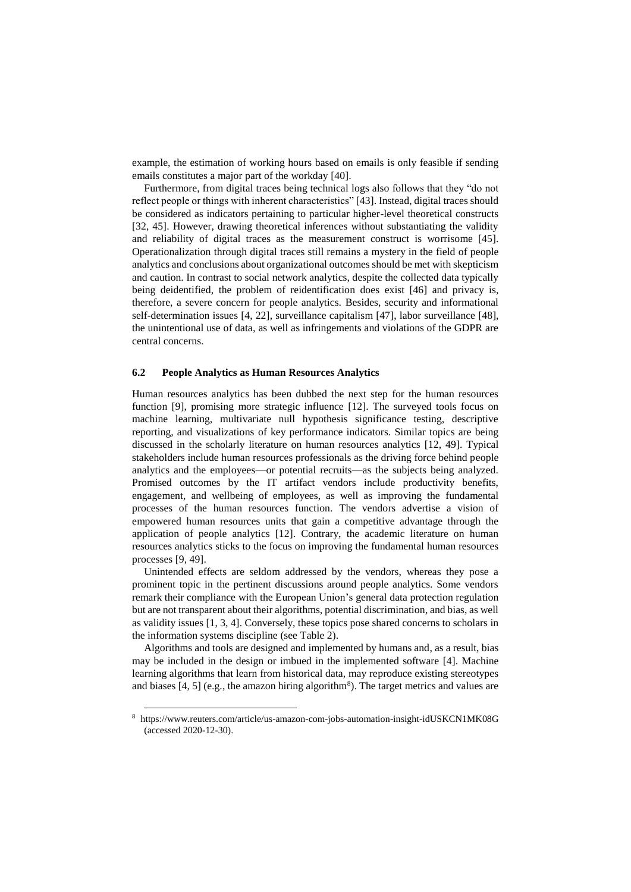example, the estimation of working hours based on emails is only feasible if sending emails constitutes a major part of the workday [40].

Furthermore, from digital traces being technical logs also follows that they "do not reflect people or things with inherent characteristics" [43]. Instead, digital traces should be considered as indicators pertaining to particular higher-level theoretical constructs [32, 45]. However, drawing theoretical inferences without substantiating the validity and reliability of digital traces as the measurement construct is worrisome [45]. Operationalization through digital traces still remains a mystery in the field of people analytics and conclusions about organizational outcomes should be met with skepticism and caution. In contrast to social network analytics, despite the collected data typically being deidentified, the problem of reidentification does exist [46] and privacy is, therefore, a severe concern for people analytics. Besides, security and informational self-determination issues [4, 22], surveillance capitalism [47], labor surveillance [48], the unintentional use of data, as well as infringements and violations of the GDPR are central concerns.

#### **6.2 People Analytics as Human Resources Analytics**

Human resources analytics has been dubbed the next step for the human resources function [9], promising more strategic influence [12]. The surveyed tools focus on machine learning, multivariate null hypothesis significance testing, descriptive reporting, and visualizations of key performance indicators. Similar topics are being discussed in the scholarly literature on human resources analytics [12, 49]. Typical stakeholders include human resources professionals as the driving force behind people analytics and the employees—or potential recruits—as the subjects being analyzed. Promised outcomes by the IT artifact vendors include productivity benefits, engagement, and wellbeing of employees, as well as improving the fundamental processes of the human resources function. The vendors advertise a vision of empowered human resources units that gain a competitive advantage through the application of people analytics [12]. Contrary, the academic literature on human resources analytics sticks to the focus on improving the fundamental human resources processes [9, 49].

Unintended effects are seldom addressed by the vendors, whereas they pose a prominent topic in the pertinent discussions around people analytics. Some vendors remark their compliance with the European Union's general data protection regulation but are not transparent about their algorithms, potential discrimination, and bias, as well as validity issues [1, 3, 4]. Conversely, these topics pose shared concerns to scholars in the information systems discipline (see [Table 2\)](#page-14-0).

Algorithms and tools are designed and implemented by humans and, as a result, bias may be included in the design or imbued in the implemented software [4]. Machine learning algorithms that learn from historical data, may reproduce existing stereotypes and biases  $[4, 5]$  (e.g., the amazon hiring algorithm<sup>8</sup>). The target metrics and values are

-

<sup>8</sup> <https://www.reuters.com/article/us-amazon-com-jobs-automation-insight-idUSKCN1MK08G> (accessed 2020-12-30).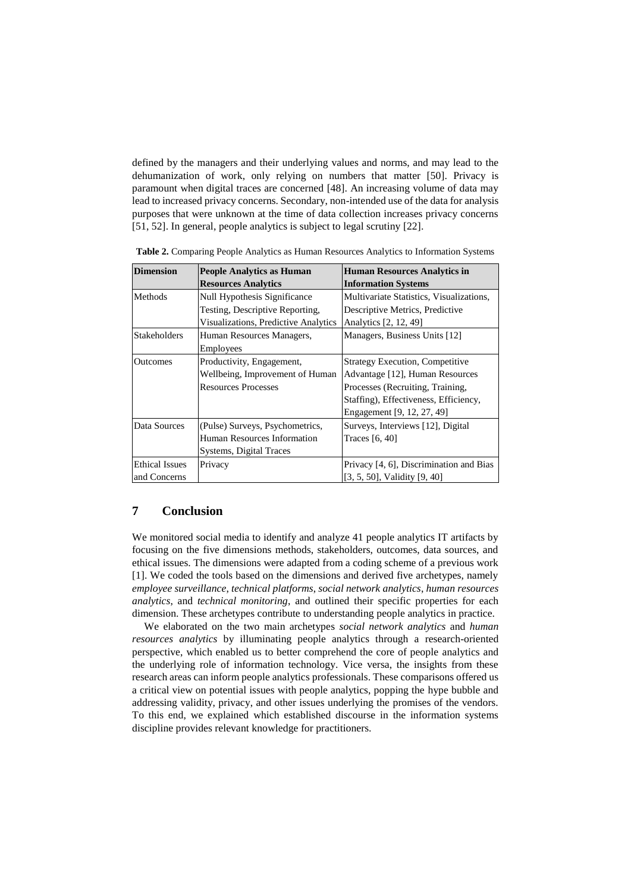defined by the managers and their underlying values and norms, and may lead to the dehumanization of work, only relying on numbers that matter [50]. Privacy is paramount when digital traces are concerned [48]. An increasing volume of data may lead to increased privacy concerns. Secondary, non-intended use of the data for analysis purposes that were unknown at the time of data collection increases privacy concerns [51, 52]. In general, people analytics is subject to legal scrutiny [22].

| <b>Dimension</b>      | <b>People Analytics as Human</b>            | <b>Human Resources Analytics in</b>      |
|-----------------------|---------------------------------------------|------------------------------------------|
|                       | <b>Resources Analytics</b>                  | <b>Information Systems</b>               |
| Methods               | Null Hypothesis Significance                | Multivariate Statistics, Visualizations, |
|                       | Testing, Descriptive Reporting,             | Descriptive Metrics, Predictive          |
|                       | <b>Visualizations, Predictive Analytics</b> | Analytics [2, 12, 49]                    |
| <b>Stakeholders</b>   | Human Resources Managers,                   | Managers, Business Units [12]            |
|                       | Employees                                   |                                          |
| Outcomes              | Productivity, Engagement,                   | <b>Strategy Execution, Competitive</b>   |
|                       | Wellbeing, Improvement of Human             | Advantage [12], Human Resources          |
|                       | <b>Resources Processes</b>                  | Processes (Recruiting, Training,         |
|                       |                                             | Staffing), Effectiveness, Efficiency,    |
|                       |                                             | Engagement [9, 12, 27, 49]               |
| Data Sources          | (Pulse) Surveys, Psychometrics,             | Surveys, Interviews [12], Digital        |
|                       | Human Resources Information                 | Traces [6, 40]                           |
|                       | Systems, Digital Traces                     |                                          |
| <b>Ethical Issues</b> | Privacy                                     | Privacy [4, 6], Discrimination and Bias  |
| and Concerns          |                                             | $[3, 5, 50]$ , Validity $[9, 40]$        |

<span id="page-14-0"></span>**Table 2.** Comparing People Analytics as Human Resources Analytics to Information Systems

## **7 Conclusion**

We monitored social media to identify and analyze 41 people analytics IT artifacts by focusing on the five dimensions methods, stakeholders, outcomes, data sources, and ethical issues. The dimensions were adapted from a coding scheme of a previous work [1]. We coded the tools based on the dimensions and derived five archetypes, namely *employee surveillance*, *technical platforms*, *social network analytics*, *human resources analytics*, and *technical monitoring*, and outlined their specific properties for each dimension. These archetypes contribute to understanding people analytics in practice.

We elaborated on the two main archetypes *social network analytics* and *human resources analytics* by illuminating people analytics through a research-oriented perspective, which enabled us to better comprehend the core of people analytics and the underlying role of information technology. Vice versa, the insights from these research areas can inform people analytics professionals. These comparisons offered us a critical view on potential issues with people analytics, popping the hype bubble and addressing validity, privacy, and other issues underlying the promises of the vendors. To this end, we explained which established discourse in the information systems discipline provides relevant knowledge for practitioners.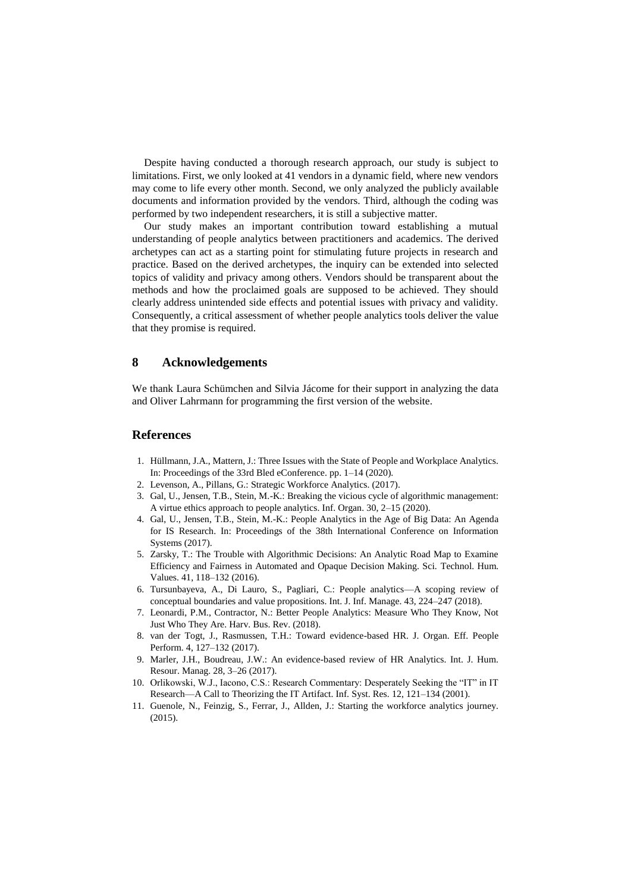Despite having conducted a thorough research approach, our study is subject to limitations. First, we only looked at 41 vendors in a dynamic field, where new vendors may come to life every other month. Second, we only analyzed the publicly available documents and information provided by the vendors. Third, although the coding was performed by two independent researchers, it is still a subjective matter.

Our study makes an important contribution toward establishing a mutual understanding of people analytics between practitioners and academics. The derived archetypes can act as a starting point for stimulating future projects in research and practice. Based on the derived archetypes, the inquiry can be extended into selected topics of validity and privacy among others. Vendors should be transparent about the methods and how the proclaimed goals are supposed to be achieved. They should clearly address unintended side effects and potential issues with privacy and validity. Consequently, a critical assessment of whether people analytics tools deliver the value that they promise is required.

#### **8 Acknowledgements**

We thank Laura Schümchen and Silvia Jácome for their support in analyzing the data and Oliver Lahrmann for programming the first version of the website.

## **References**

- 1. Hüllmann, J.A., Mattern, J.: Three Issues with the State of People and Workplace Analytics. In: Proceedings of the 33rd Bled eConference. pp. 1–14 (2020).
- 2. Levenson, A., Pillans, G.: Strategic Workforce Analytics. (2017).
- 3. Gal, U., Jensen, T.B., Stein, M.-K.: Breaking the vicious cycle of algorithmic management: A virtue ethics approach to people analytics. Inf. Organ. 30, 2–15 (2020).
- 4. Gal, U., Jensen, T.B., Stein, M.-K.: People Analytics in the Age of Big Data: An Agenda for IS Research. In: Proceedings of the 38th International Conference on Information Systems (2017).
- 5. Zarsky, T.: The Trouble with Algorithmic Decisions: An Analytic Road Map to Examine Efficiency and Fairness in Automated and Opaque Decision Making. Sci. Technol. Hum. Values. 41, 118–132 (2016).
- 6. Tursunbayeva, A., Di Lauro, S., Pagliari, C.: People analytics—A scoping review of conceptual boundaries and value propositions. Int. J. Inf. Manage. 43, 224–247 (2018).
- 7. Leonardi, P.M., Contractor, N.: Better People Analytics: Measure Who They Know, Not Just Who They Are. Harv. Bus. Rev. (2018).
- 8. van der Togt, J., Rasmussen, T.H.: Toward evidence-based HR. J. Organ. Eff. People Perform. 4, 127–132 (2017).
- 9. Marler, J.H., Boudreau, J.W.: An evidence-based review of HR Analytics. Int. J. Hum. Resour. Manag. 28, 3–26 (2017).
- 10. Orlikowski, W.J., Iacono, C.S.: Research Commentary: Desperately Seeking the "IT" in IT Research—A Call to Theorizing the IT Artifact. Inf. Syst. Res. 12, 121–134 (2001).
- 11. Guenole, N., Feinzig, S., Ferrar, J., Allden, J.: Starting the workforce analytics journey. (2015).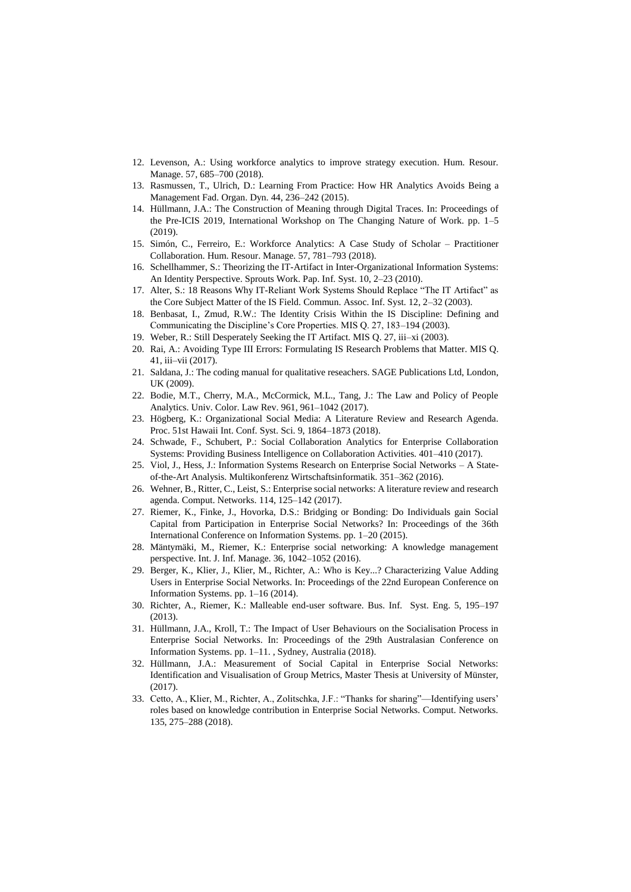- 12. Levenson, A.: Using workforce analytics to improve strategy execution. Hum. Resour. Manage. 57, 685–700 (2018).
- 13. Rasmussen, T., Ulrich, D.: Learning From Practice: How HR Analytics Avoids Being a Management Fad. Organ. Dyn. 44, 236–242 (2015).
- 14. Hüllmann, J.A.: The Construction of Meaning through Digital Traces. In: Proceedings of the Pre-ICIS 2019, International Workshop on The Changing Nature of Work. pp. 1–5 (2019).
- 15. Simón, C., Ferreiro, E.: Workforce Analytics: A Case Study of Scholar Practitioner Collaboration. Hum. Resour. Manage. 57, 781–793 (2018).
- 16. Schellhammer, S.: Theorizing the IT-Artifact in Inter-Organizational Information Systems: An Identity Perspective. Sprouts Work. Pap. Inf. Syst. 10, 2–23 (2010).
- 17. Alter, S.: 18 Reasons Why IT-Reliant Work Systems Should Replace "The IT Artifact" as the Core Subject Matter of the IS Field. Commun. Assoc. Inf. Syst. 12, 2–32 (2003).
- 18. Benbasat, I., Zmud, R.W.: The Identity Crisis Within the IS Discipline: Defining and Communicating the Discipline's Core Properties. MIS Q. 27, 183–194 (2003).
- 19. Weber, R.: Still Desperately Seeking the IT Artifact. MIS Q. 27, iii–xi (2003).
- 20. Rai, A.: Avoiding Type III Errors: Formulating IS Research Problems that Matter. MIS Q. 41, iii–vii (2017).
- 21. Saldana, J.: The coding manual for qualitative reseachers. SAGE Publications Ltd, London, UK (2009).
- 22. Bodie, M.T., Cherry, M.A., McCormick, M.L., Tang, J.: The Law and Policy of People Analytics. Univ. Color. Law Rev. 961, 961–1042 (2017).
- 23. Högberg, K.: Organizational Social Media: A Literature Review and Research Agenda. Proc. 51st Hawaii Int. Conf. Syst. Sci. 9, 1864–1873 (2018).
- 24. Schwade, F., Schubert, P.: Social Collaboration Analytics for Enterprise Collaboration Systems: Providing Business Intelligence on Collaboration Activities. 401–410 (2017).
- 25. Viol, J., Hess, J.: Information Systems Research on Enterprise Social Networks A Stateof-the-Art Analysis. Multikonferenz Wirtschaftsinformatik. 351–362 (2016).
- 26. Wehner, B., Ritter, C., Leist, S.: Enterprise social networks: A literature review and research agenda. Comput. Networks. 114, 125–142 (2017).
- 27. Riemer, K., Finke, J., Hovorka, D.S.: Bridging or Bonding: Do Individuals gain Social Capital from Participation in Enterprise Social Networks? In: Proceedings of the 36th International Conference on Information Systems. pp. 1–20 (2015).
- 28. Mäntymäki, M., Riemer, K.: Enterprise social networking: A knowledge management perspective. Int. J. Inf. Manage. 36, 1042–1052 (2016).
- 29. Berger, K., Klier, J., Klier, M., Richter, A.: Who is Key...? Characterizing Value Adding Users in Enterprise Social Networks. In: Proceedings of the 22nd European Conference on Information Systems. pp. 1–16 (2014).
- 30. Richter, A., Riemer, K.: Malleable end-user software. Bus. Inf. Syst. Eng. 5, 195–197 (2013).
- 31. Hüllmann, J.A., Kroll, T.: The Impact of User Behaviours on the Socialisation Process in Enterprise Social Networks. In: Proceedings of the 29th Australasian Conference on Information Systems. pp. 1–11. , Sydney, Australia (2018).
- 32. Hüllmann, J.A.: Measurement of Social Capital in Enterprise Social Networks: Identification and Visualisation of Group Metrics, Master Thesis at University of Münster, (2017).
- 33. Cetto, A., Klier, M., Richter, A., Zolitschka, J.F.: "Thanks for sharing"—Identifying users' roles based on knowledge contribution in Enterprise Social Networks. Comput. Networks. 135, 275–288 (2018).